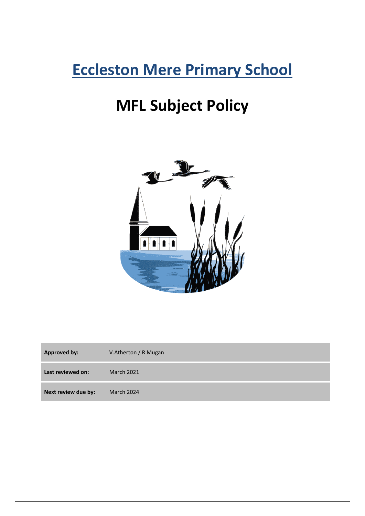## **Eccleston Mere Primary School**

# **MFL Subject Policy**



| <b>Approved by:</b> | V.Atherton / R Mugan |
|---------------------|----------------------|
| Last reviewed on:   | <b>March 2021</b>    |
| Next review due by: | March 2024           |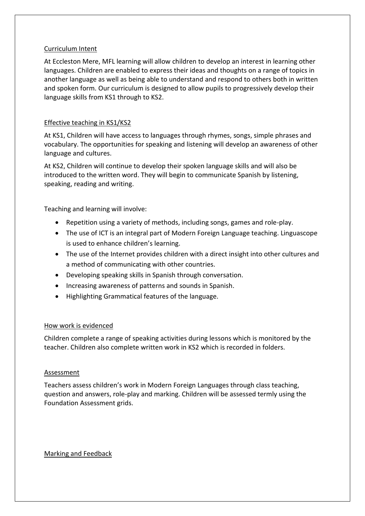#### Curriculum Intent

At Eccleston Mere, MFL learning will allow children to develop an interest in learning other languages. Children are enabled to express their ideas and thoughts on a range of topics in another language as well as being able to understand and respond to others both in written and spoken form. Our curriculum is designed to allow pupils to progressively develop their language skills from KS1 through to KS2.

## Effective teaching in KS1/KS2

At KS1, Children will have access to languages through rhymes, songs, simple phrases and vocabulary. The opportunities for speaking and listening will develop an awareness of other language and cultures.

At KS2, Children will continue to develop their spoken language skills and will also be introduced to the written word. They will begin to communicate Spanish by listening, speaking, reading and writing.

Teaching and learning will involve:

- Repetition using a variety of methods, including songs, games and role-play.
- The use of ICT is an integral part of Modern Foreign Language teaching. Linguascope is used to enhance children's learning.
- The use of the Internet provides children with a direct insight into other cultures and a method of communicating with other countries.
- Developing speaking skills in Spanish through conversation.
- Increasing awareness of patterns and sounds in Spanish.
- Highlighting Grammatical features of the language.

#### How work is evidenced

Children complete a range of speaking activities during lessons which is monitored by the teacher. Children also complete written work in KS2 which is recorded in folders.

#### Assessment

Teachers assess children's work in Modern Foreign Languages through class teaching, question and answers, role-play and marking. Children will be assessed termly using the Foundation Assessment grids.

## Marking and Feedback